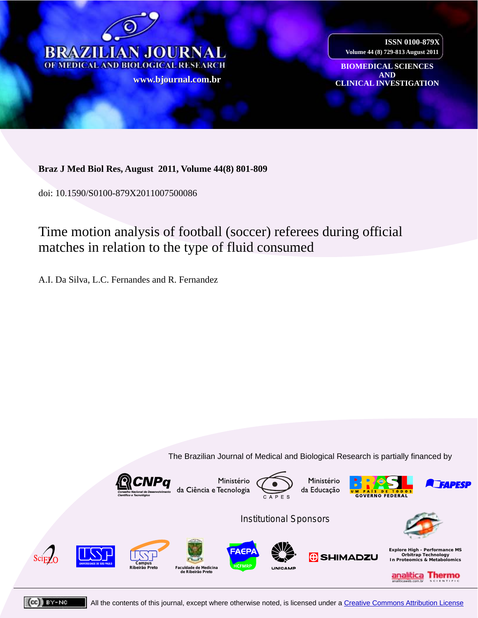

**ISSN 0100-879X Volume 44 (8) 729-813 August 2011**

**BIOMEDICAL SCIENCES AND www CLINICAL INVESTIGATION [.bjournal.com.b](http://www.scielo.br/scielo.php?script=sci_arttext&pid=S0100-879X2009001200016&lng=en&nrm=iso)[r](http://www.bjournal.com.br/)**

# **Braz J Med Biol Res, August 2011, Volume 44(8) 801-809**

doi: 10.1590/S0100-879X2011007500086

# [Time motion analysis of football \(soccer\) referees during official](http://www.scielo.br/scielo.php?script=sci_arttext&pid=S0100-879X2011000800010&lng=en&nrm=iso)  matches in relation to the type of fluid consumed

A.I. Da Silva, L.C. Fernandes and R. Fernandez

The Brazilian Journal of Medical and Biological Research is partially financed by





All the contents of this journal, except where otherwise noted, is licensed under a Creative Commons Attribution License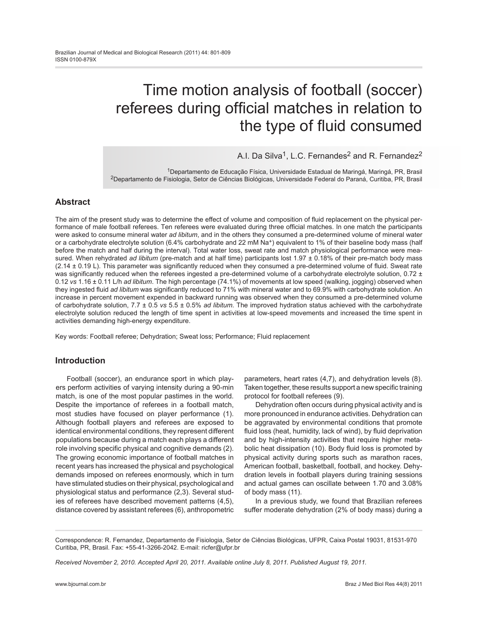# Time motion analysis of football (soccer) referees during official matches in relation to the type of fluid consumed

# A.I. Da Silva<sup>1</sup>, L.C. Fernandes<sup>2</sup> and R. Fernandez<sup>2</sup>

1Departamento de Educação Física, Universidade Estadual de Maringá, Maringá, PR, Brasil 2Departamento de Fisiologia, Setor de Ciências Biológicas, Universidade Federal do Paraná, Curitiba, PR, Brasil

# **Abstract**

The aim of the present study was to determine the effect of volume and composition of fluid replacement on the physical performance of male football referees. Ten referees were evaluated during three official matches. In one match the participants were asked to consume mineral water *ad libitum*, and in the others they consumed a pre-determined volume of mineral water or a carbohydrate electrolyte solution (6.4% carbohydrate and 22 mM  $Na^+$ ) equivalent to 1% of their baseline body mass (half before the match and half during the interval). Total water loss, sweat rate and match physiological performance were measured. When rehydrated *ad libitum* (pre-match and at half time) participants lost 1.97 ± 0.18% of their pre-match body mass  $(2.14 \pm 0.19 \text{ L})$ . This parameter was significantly reduced when they consumed a pre-determined volume of fluid. Sweat rate was significantly reduced when the referees ingested a pre-determined volume of a carbohydrate electrolyte solution,  $0.72 \pm$ 0.12 *vs* 1.16 ± 0.11 L/h *ad libitum*. The high percentage (74.1%) of movements at low speed (walking, jogging) observed when they ingested fluid *ad libitum* was significantly reduced to 71% with mineral water and to 69.9% with carbohydrate solution. An increase in percent movement expended in backward running was observed when they consumed a pre-determined volume of carbohydrate solution, 7.7 ± 0.5 *vs* 5.5 ± 0.5% *ad libitum*. The improved hydration status achieved with the carbohydrate electrolyte solution reduced the length of time spent in activities at low-speed movements and increased the time spent in activities demanding high-energy expenditure.

Key words: Football referee; Dehydration; Sweat loss; Performance; Fluid replacement

# **Introduction**

Football (soccer), an endurance sport in which players perform activities of varying intensity during a 90-min match, is one of the most popular pastimes in the world. Despite the importance of referees in a football match, most studies have focused on player performance (1). Although football players and referees are exposed to identical environmental conditions, they represent different populations because during a match each plays a different role involving specific physical and cognitive demands (2). The growing economic importance of football matches in recent years has increased the physical and psychological demands imposed on referees enormously, which in turn have stimulated studies on their physical, psychological and physiological status and performance (2,3). Several studies of referees have described movement patterns (4,5), distance covered by assistant referees (6), anthropometric

parameters, heart rates (4,7), and dehydration levels (8). Taken together, these results support a new specific training protocol for football referees (9).

Dehydration often occurs during physical activity and is more pronounced in endurance activities. Dehydration can be aggravated by environmental conditions that promote fluid loss (heat, humidity, lack of wind), by fluid deprivation and by high-intensity activities that require higher metabolic heat dissipation (10). Body fluid loss is promoted by physical activity during sports such as marathon races, American football, basketball, football, and hockey. Dehydration levels in football players during training sessions and actual games can oscillate between 1.70 and 3.08% of body mass (11).

In a previous study, we found that Brazilian referees suffer moderate dehydration (2% of body mass) during a

*Received November 2, 2010. Accepted April 20, 2011. Available online July 8, 2011. Published August 19, 2011.*

Correspondence: R. Fernandez, Departamento de Fisiologia, Setor de Ciências Biológicas, UFPR, Caixa Postal 19031, 81531-970 Curitiba, PR, Brasil. Fax: +55-41-3266-2042. E-mail: ricfer@ufpr.br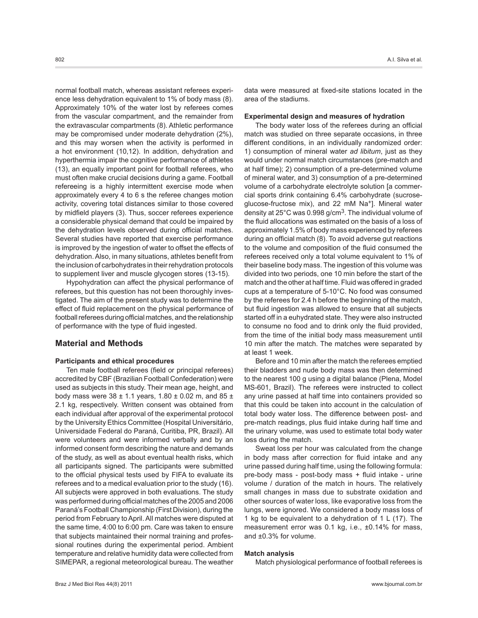normal football match, whereas assistant referees experience less dehydration equivalent to 1% of body mass (8). Approximately 10% of the water lost by referees comes from the vascular compartment, and the remainder from the extravascular compartments (8). Athletic performance may be compromised under moderate dehydration (2%), and this may worsen when the activity is performed in a hot environment (10,12). In addition, dehydration and hyperthermia impair the cognitive performance of athletes (13), an equally important point for football referees, who must often make crucial decisions during a game. Football refereeing is a highly intermittent exercise mode when approximately every 4 to 6 s the referee changes motion activity, covering total distances similar to those covered by midfield players (3). Thus, soccer referees experience a considerable physical demand that could be impaired by the dehydration levels observed during official matches. Several studies have reported that exercise performance is improved by the ingestion of water to offset the effects of dehydration. Also, in many situations, athletes benefit from the inclusion of carbohydrates in their rehydration protocols to supplement liver and muscle glycogen stores (13-15).

Hypohydration can affect the physical performance of referees, but this question has not been thoroughly investigated. The aim of the present study was to determine the effect of fluid replacement on the physical performance of football referees during official matches, and the relationship of performance with the type of fluid ingested.

# **Material and Methods**

## **Participants and ethical procedures**

Ten male football referees (field or principal referees) accredited by CBF (Brazilian Football Confederation) were used as subjects in this study. Their mean age, height, and body mass were 38  $\pm$  1.1 years, 1.80  $\pm$  0.02 m, and 85  $\pm$ 2.1 kg, respectively. Written consent was obtained from each individual after approval of the experimental protocol by the University Ethics Committee (Hospital Universitário, Universidade Federal do Paraná, Curitiba, PR, Brazil). All were volunteers and were informed verbally and by an informed consent form describing the nature and demands of the study, as well as about eventual health risks, which all participants signed. The participants were submitted to the official physical tests used by FIFA to evaluate its referees and to a medical evaluation prior to the study (16). All subjects were approved in both evaluations. The study was performed during official matches of the 2005 and 2006 Paraná's Football Championship (First Division), during the period from February to April. All matches were disputed at the same time, 4:00 to 6:00 pm. Care was taken to ensure that subjects maintained their normal training and professional routines during the experimental period. Ambient temperature and relative humidity data were collected from SIMEPAR, a regional meteorological bureau. The weather data were measured at fixed-site stations located in the area of the stadiums.

#### **Experimental design and measures of hydration**

The body water loss of the referees during an official match was studied on three separate occasions, in three different conditions, in an individually randomized order: 1) consumption of mineral water *ad libitum*, just as they would under normal match circumstances (pre-match and at half time); 2) consumption of a pre-determined volume of mineral water, and 3) consumption of a pre-determined volume of a carbohydrate electrolyte solution [a commercial sports drink containing 6.4% carbohydrate (sucroseglucose-fructose mix), and 22 mM Na+]. Mineral water density at  $25^{\circ}$ C was 0.998 g/cm<sup>3</sup>. The individual volume of the fluid allocations was estimated on the basis of a loss of approximately 1.5% of body mass experienced by referees during an official match (8). To avoid adverse gut reactions to the volume and composition of the fluid consumed the referees received only a total volume equivalent to 1% of their baseline body mass. The ingestion of this volume was divided into two periods, one 10 min before the start of the match and the other at half time. Fluid was offered in graded cups at a temperature of 5-10°C. No food was consumed by the referees for 2.4 h before the beginning of the match, but fluid ingestion was allowed to ensure that all subjects started off in a euhydrated state. They were also instructed to consume no food and to drink only the fluid provided, from the time of the initial body mass measurement until 10 min after the match. The matches were separated by at least 1 week.

Before and 10 min after the match the referees emptied their bladders and nude body mass was then determined to the nearest 100 g using a digital balance (Plena, Model MS-601, Brazil). The referees were instructed to collect any urine passed at half time into containers provided so that this could be taken into account in the calculation of total body water loss. The difference between post- and pre-match readings, plus fluid intake during half time and the urinary volume, was used to estimate total body water loss during the match.

Sweat loss per hour was calculated from the change in body mass after correction for fluid intake and any urine passed during half time, using the following formula: pre-body mass - post-body mass + fluid intake - urine volume / duration of the match in hours. The relatively small changes in mass due to substrate oxidation and other sources of water loss, like evaporative loss from the lungs, were ignored. We considered a body mass loss of 1 kg to be equivalent to a dehydration of 1 L (17). The measurement error was 0.1 kg, i.e., ±0.14% for mass, and ±0.3% for volume.

#### **Match analysis**

Match physiological performance of football referees is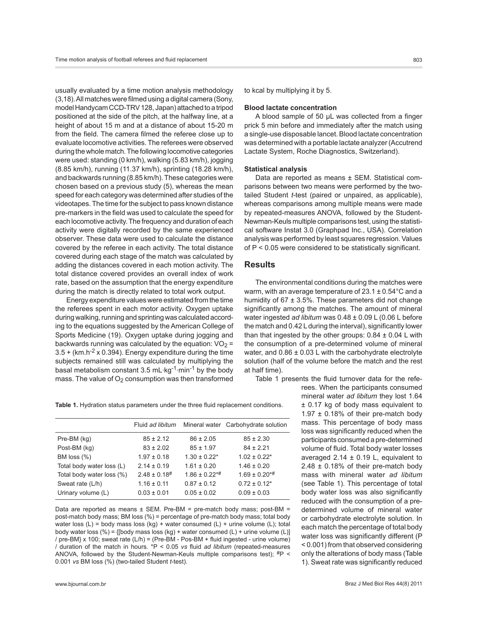usually evaluated by a time motion analysis methodology (3,18). All matches were filmed using a digital camera (Sony, model Handycam CCD-TRV 128, Japan) attached to a tripod positioned at the side of the pitch, at the halfway line, at a height of about 15 m and at a distance of about 15-20 m from the field. The camera filmed the referee close up to evaluate locomotive activities. The referees were observed during the whole match. The following locomotive categories were used: standing (0 km/h), walking (5.83 km/h), jogging (8.85 km/h), running (11.37 km/h), sprinting (18.28 km/h), and backwards running (8.85 km/h). These categories were chosen based on a previous study (5), whereas the mean speed for each category was determined after studies of the videotapes. The time for the subject to pass known distance pre-markers in the field was used to calculate the speed for each locomotive activity. The frequency and duration of each activity were digitally recorded by the same experienced observer. These data were used to calculate the distance covered by the referee in each activity. The total distance covered during each stage of the match was calculated by adding the distances covered in each motion activity. The total distance covered provides an overall index of work rate, based on the assumption that the energy expenditure during the match is directly related to total work output.

Energy expenditure values were estimated from the time the referees spent in each motor activity. Oxygen uptake during walking, running and sprinting was calculated according to the equations suggested by the American College of Sports Medicine (19). Oxygen uptake during jogging and backwards running was calculated by the equation:  $VO<sub>2</sub> =$  $3.5 + (km.h<sup>-2</sup> x 0.394)$ . Energy expenditure during the time subjects remained still was calculated by multiplying the basal metabolism constant 3.5 mL $\cdot$ kg<sup>-1</sup> $\cdot$ min<sup>-1</sup> by the body mass. The value of  $O<sub>2</sub>$  consumption was then transformed to kcal by multiplying it by 5.

## **Blood lactate concentration**

A blood sample of 50 µL was collected from a finger prick 5 min before and immediately after the match using a single-use disposable lancet. Blood lactate concentration was determined with a portable lactate analyzer (Accutrend Lactate System, Roche Diagnostics, Switzerland).

#### **Statistical analysis**

Data are reported as means ± SEM. Statistical comparisons between two means were performed by the twotailed Student *t*-test (paired or unpaired, as applicable), whereas comparisons among multiple means were made by repeated-measures ANOVA, followed by the Student-Newman-Keuls multiple comparisons test, using the statistical software Instat 3.0 (Graphpad Inc., USA). Correlation analysis was performed by least squares regression. Values of P < 0.05 were considered to be statistically significant.

## **Results**

The environmental conditions during the matches were warm, with an average temperature of 23.1 ± 0.54°C and a humidity of  $67 \pm 3.5\%$ . These parameters did not change significantly among the matches. The amount of mineral water ingested *ad libitum* was 0.48 ± 0.09 L (0.06 L before the match and 0.42 L during the interval), significantly lower than that ingested by the other groups:  $0.84 \pm 0.04$  L with the consumption of a pre-determined volume of mineral water, and  $0.86 \pm 0.03$  L with the carbohydrate electrolyte solution (half of the volume before the match and the rest at half time).

Table 1 presents the fluid turnover data for the refe-

rees. When the participants consumed mineral water *ad libitum* they lost 1.64 ± 0.17 kg of body mass equivalent to 1.97  $\pm$  0.18% of their pre-match body mass. This percentage of body mass loss was significantly reduced when the participants consumed a pre-determined volume of fluid. Total body water losses averaged 2.14  $\pm$  0.19 L, equivalent to 2.48 ± 0.18% of their pre-match body mass with mineral water *ad libitum* (see Table 1). This percentage of total body water loss was also significantly reduced with the consumption of a predetermined volume of mineral water or carbohydrate electrolyte solution. In each match the percentage of total body water loss was significantly different (P < 0.001) from that observed considering only the alterations of body mass (Table 1). Sweat rate was significantly reduced

**Table 1.** Hydration status parameters under the three fluid replacement conditions.

|                           | Fluid ad libitum             |                   | Mineral water Carbohydrate solution |
|---------------------------|------------------------------|-------------------|-------------------------------------|
| Pre-BM (kg)               | $85 \pm 2.12$                | $86 \pm 2.05$     | $85 \pm 2.30$                       |
| Post-BM (kg)              | $83 \pm 2.02$                | $85 \pm 1.97$     | $84 \pm 2.21$                       |
| BM loss (%)               | $1.97 \pm 0.18$              | $1.30 \pm 0.22$ * | $1.02 \pm 0.22$ *                   |
| Total body water loss (L) | $2.14 \pm 0.19$              | $1.61 \pm 0.20$   | $1.46 \pm 0.20$                     |
| Total body water loss (%) | $2.48 \pm 0.18$ <sup>#</sup> | $1.86 \pm 0.22**$ | $1.69 \pm 0.20^{* \#}$              |
| Sweat rate (L/h)          | $1.16 \pm 0.11$              | $0.87 \pm 0.12$   | $0.72 \pm 0.12$ *                   |
| Urinary volume (L)        | $0.03 \pm 0.01$              | $0.05 \pm 0.02$   | $0.09 \pm 0.03$                     |
|                           |                              |                   |                                     |

Data are reported as means  $\pm$  SEM. Pre-BM = pre-match body mass; post-BM = post-match body mass; BM loss (%) = percentage of pre-match body mass; total body water loss  $(L)$  = body mass loss  $(kg)$  + water consumed  $(L)$  + urine volume  $(L)$ ; total body water loss (%) =  $\{$ [body mass loss (kg) + water consumed (L) + urine volume (L)] / pre-BM} x 100; sweat rate (L/h) = (Pre-BM - Pos-BM + fluid ingested - urine volume) / duration of the match in hours. \*P < 0.05 *vs* fluid *ad libitum* (repeated-measures ANOVA, followed by the Student-Newman-Keuls multiple comparisons test);  $#P <$ 0.001 *vs* BM loss (%) (two-tailed Student *t*-test).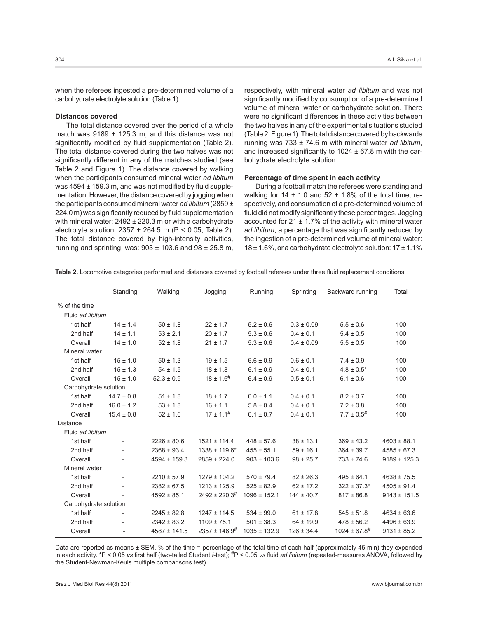when the referees ingested a pre-determined volume of a carbohydrate electrolyte solution (Table 1).

#### **Distances covered**

The total distance covered over the period of a whole match was  $9189 \pm 125.3$  m, and this distance was not significantly modified by fluid supplementation (Table 2). The total distance covered during the two halves was not significantly different in any of the matches studied (see Table 2 and Figure 1). The distance covered by walking when the participants consumed mineral water *ad libitum* was  $4594 \pm 159.3$  m, and was not modified by fluid supplementation. However, the distance covered by jogging when the participants consumed mineral water *ad libitum* (2859 ± 224.0 m) was significantly reduced by fluid supplementation with mineral water:  $2492 \pm 220.3$  m or with a carbohydrate electrolyte solution:  $2357 \pm 264.5$  m (P < 0.05; Table 2). The total distance covered by high-intensity activities, running and sprinting, was:  $903 \pm 103.6$  and  $98 \pm 25.8$  m,

respectively, with mineral water *ad libitum* and was not significantly modified by consumption of a pre-determined volume of mineral water or carbohydrate solution. There were no significant differences in these activities between the two halves in any of the experimental situations studied (Table 2, Figure 1). The total distance covered by backwards running was 733 ± 74.6 m with mineral water *ad libitum*, and increased significantly to  $1024 \pm 67.8$  m with the carbohydrate electrolyte solution.

### **Percentage of time spent in each activity**

During a football match the referees were standing and walking for 14  $\pm$  1.0 and 52  $\pm$  1.8% of the total time, respectively, and consumption of a pre-determined volume of fluid did not modify significantly these percentages. Jogging accounted for  $21 \pm 1.7\%$  of the activity with mineral water *ad libitum*, a percentage that was significantly reduced by the ingestion of a pre-determined volume of mineral water:  $18 \pm 1.6$ %, or a carbohydrate electrolyte solution:  $17 \pm 1.1$ %

**Table 2.** Locomotive categories performed and distances covered by football referees under three fluid replacement conditions.

|                       | Standing                 | Walking          | Jogging               | Running          | Sprinting      | Backward running     | Total            |
|-----------------------|--------------------------|------------------|-----------------------|------------------|----------------|----------------------|------------------|
| % of the time         |                          |                  |                       |                  |                |                      |                  |
| Fluid ad libitum      |                          |                  |                       |                  |                |                      |                  |
| 1st half              | $14 \pm 1.4$             | $50 \pm 1.8$     | $22 \pm 1.7$          | $5.2 \pm 0.6$    | $0.3 \pm 0.09$ | $5.5 \pm 0.6$        | 100              |
| 2nd half              | $14 \pm 1.1$             | $53 \pm 2.1$     | $20 \pm 1.7$          | $5.3 \pm 0.6$    | $0.4 \pm 0.1$  | $5.4 \pm 0.5$        | 100              |
| Overall               | $14 \pm 1.0$             | $52 \pm 1.8$     | $21 \pm 1.7$          | $5.3 \pm 0.6$    | $0.4 \pm 0.09$ | $5.5 \pm 0.5$        | 100              |
| Mineral water         |                          |                  |                       |                  |                |                      |                  |
| 1st half              | $15 \pm 1.0$             | $50 \pm 1.3$     | $19 \pm 1.5$          | $6.6 \pm 0.9$    | $0.6 \pm 0.1$  | $7.4 \pm 0.9$        | 100              |
| 2nd half              | $15 \pm 1.3$             | $54 \pm 1.5$     | $18 \pm 1.8$          | $6.1 \pm 0.9$    | $0.4 \pm 0.1$  | $4.8 \pm 0.5^*$      | 100              |
| Overall               | $15 \pm 1.0$             | $52.3 \pm 0.9$   | $18 \pm 1.6^{\#}$     | $6.4 \pm 0.9$    | $0.5 \pm 0.1$  | $6.1 \pm 0.6$        | 100              |
| Carbohydrate solution |                          |                  |                       |                  |                |                      |                  |
| 1st half              | $14.7 \pm 0.8$           | $51 \pm 1.8$     | $18 \pm 1.7$          | $6.0 \pm 1.1$    | $0.4 \pm 0.1$  | $8.2 \pm 0.7$        | 100              |
| 2nd half              | $16.0 \pm 1.2$           | $53 \pm 1.8$     | $16 \pm 1.1$          | $5.8 \pm 0.4$    | $0.4 \pm 0.1$  | $7.2 \pm 0.8$        | 100              |
| Overall               | $15.4 \pm 0.8$           | $52 \pm 1.6$     | $17 \pm 1.1^{\#}$     | $6.1 \pm 0.7$    | $0.4 \pm 0.1$  | $7.7 \pm 0.5$ #      | 100              |
| <b>Distance</b>       |                          |                  |                       |                  |                |                      |                  |
| Fluid ad libitum      |                          |                  |                       |                  |                |                      |                  |
| 1st half              | $\overline{\phantom{0}}$ | $2226 \pm 80.6$  | $1521 \pm 114.4$      | $448 \pm 57.6$   | $38 \pm 13.1$  | $369 \pm 43.2$       | $4603 \pm 88.1$  |
| 2nd half              |                          | $2368 \pm 93.4$  | $1338 \pm 119.6^*$    | $455 \pm 55.1$   | $59 \pm 16.1$  | $364 \pm 39.7$       | $4585 \pm 67.3$  |
| Overall               |                          | $4594 \pm 159.3$ | $2859 \pm 224.0$      | $903 \pm 103.6$  | $98 \pm 25.7$  | $733 \pm 74.6$       | $9189 \pm 125.3$ |
| Mineral water         |                          |                  |                       |                  |                |                      |                  |
| 1st half              | $\overline{\phantom{0}}$ | $2210 \pm 57.9$  | $1279 \pm 104.2$      | $570 \pm 79.4$   | $82 \pm 26.3$  | $495 \pm 64.1$       | $4638 \pm 75.5$  |
| 2nd half              |                          | $2382 \pm 67.5$  | $1213 \pm 125.9$      | $525 \pm 82.9$   | $62 \pm 17.2$  | $322 \pm 37.3*$      | $4505 \pm 91.4$  |
| Overall               |                          | $4592 \pm 85.1$  | $2492 \pm 220.3^{\#}$ | $1096 \pm 152.1$ | $144 \pm 40.7$ | $817 \pm 86.8$       | $9143 \pm 151.5$ |
| Carbohydrate solution |                          |                  |                       |                  |                |                      |                  |
| 1st half              |                          | $2245 \pm 82.8$  | $1247 \pm 114.5$      | $534 \pm 99.0$   | $61 \pm 17.8$  | $545 \pm 51.8$       | $4634 \pm 63.6$  |
| 2nd half              |                          | $2342 \pm 83.2$  | $1109 \pm 75.1$       | $501 \pm 38.3$   | $64 \pm 19.9$  | $478 \pm 56.2$       | $4496 \pm 63.9$  |
| Overall               | $\overline{\phantom{a}}$ | $4587 \pm 141.5$ | $2357 \pm 146.9^{\#}$ | $1035 \pm 132.9$ | $126 \pm 34.4$ | $1024 \pm 67.8^{\#}$ | $9131 \pm 85.2$  |

Data are reported as means ± SEM. % of the time = percentage of the total time of each half (approximately 45 min) they expended in each activity. \*P < 0.05 *vs* first half (two-tailed Student *t*-test); #P < 0.05 *vs* fluid *ad libitum* (repeated-measures ANOVA, followed by the Student-Newman-Keuls multiple comparisons test).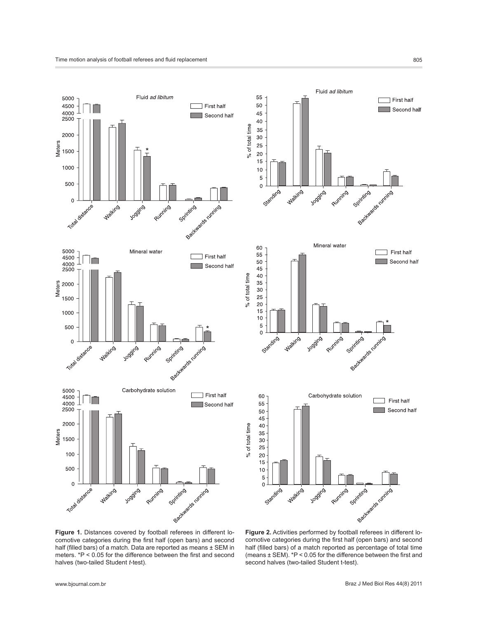



**Figure 1.** Distances covered by football referees in different locomotive categories during the first half (open bars) and second half (filled bars) of a match. Data are reported as means ± SEM in meters. \*P < 0.05 for the difference between the first and second halves (two-tailed Student *t*-test).

**Figure 2.** Activities performed by football referees in different locomotive categories during the first half (open bars) and second half (filled bars) of a match reported as percentage of total time (means ± SEM). \*P < 0.05 for the difference between the first and second halves (two-tailed Student t-test).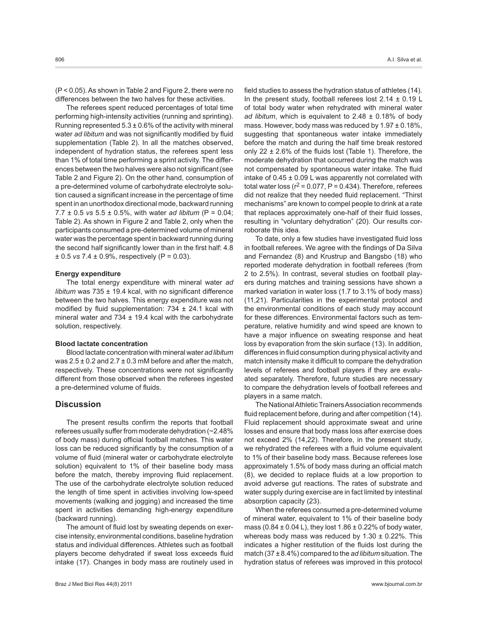(P < 0.05). As shown in Table 2 and Figure 2, there were no differences between the two halves for these activities.

The referees spent reduced percentages of total time performing high-intensity activities (running and sprinting). Running represented  $5.3 \pm 0.6\%$  of the activity with mineral water *ad libitum* and was not significantly modified by fluid supplementation (Table 2). In all the matches observed, independent of hydration status, the referees spent less than 1% of total time performing a sprint activity. The differences between the two halves were also not significant (see Table 2 and Figure 2). On the other hand, consumption of a pre-determined volume of carbohydrate electrolyte solution caused a significant increase in the percentage of time spent in an unorthodox directional mode, backward running 7.7 ± 0.5 *vs* 5.5 ± 0.5%, with water *ad libitum* (P = 0.04; Table 2). As shown in Figure 2 and Table 2, only when the participants consumed a pre-determined volume of mineral water was the percentage spent in backward running during the second half significantly lower than in the first half: 4.8 ± 0.5 *vs* 7.4 ± 0.9%, respectively (P = 0.03).

#### **Energy expenditure**

The total energy expenditure with mineral water *ad libitum* was 735 ± 19.4 kcal, with no significant difference between the two halves. This energy expenditure was not modified by fluid supplementation:  $734 \pm 24.1$  kcal with mineral water and 734  $\pm$  19.4 kcal with the carbohydrate solution, respectively.

### **Blood lactate concentration**

Blood lactate concentration with mineral water *ad libitum* was  $2.5 \pm 0.2$  and  $2.7 \pm 0.3$  mM before and after the match, respectively. These concentrations were not significantly different from those observed when the referees ingested a pre-determined volume of fluids.

# **Discussion**

The present results confirm the reports that football referees usually suffer from moderate dehydration (~2.48% of body mass) during official football matches. This water loss can be reduced significantly by the consumption of a volume of fluid (mineral water or carbohydrate electrolyte solution) equivalent to 1% of their baseline body mass before the match, thereby improving fluid replacement. The use of the carbohydrate electrolyte solution reduced the length of time spent in activities involving low-speed movements (walking and jogging) and increased the time spent in activities demanding high-energy expenditure (backward running).

The amount of fluid lost by sweating depends on exercise intensity, environmental conditions, baseline hydration status and individual differences. Athletes such as football players become dehydrated if sweat loss exceeds fluid intake (17). Changes in body mass are routinely used in

field studies to assess the hydration status of athletes (14). In the present study, football referees lost  $2.14 \pm 0.19$  L of total body water when rehydrated with mineral water *ad libitum*, which is equivalent to  $2.48 \pm 0.18$ % of body mass. However, body mass was reduced by  $1.97 \pm 0.18\%$ , suggesting that spontaneous water intake immediately before the match and during the half time break restored only  $22 \pm 2.6\%$  of the fluids lost (Table 1). Therefore, the moderate dehydration that occurred during the match was not compensated by spontaneous water intake. The fluid intake of  $0.45 \pm 0.09$  L was apparently not correlated with total water loss ( $r^2$  = 0.077, P = 0.434). Therefore, referees did not realize that they needed fluid replacement. "Thirst mechanisms" are known to compel people to drink at a rate that replaces approximately one-half of their fluid losses, resulting in "voluntary dehydration" (20). Our results corroborate this idea.

To date, only a few studies have investigated fluid loss in football referees. We agree with the findings of Da Silva and Fernandez (8) and Krustrup and Bangsbo (18) who reported moderate dehydration in football referees (from 2 to 2.5%). In contrast, several studies on football players during matches and training sessions have shown a marked variation in water loss (1.7 to 3.1% of body mass) (11,21). Particularities in the experimental protocol and the environmental conditions of each study may account for these differences. Environmental factors such as temperature, relative humidity and wind speed are known to have a major influence on sweating response and heat loss by evaporation from the skin surface (13). In addition, differences in fluid consumption during physical activity and match intensity make it difficult to compare the dehydration levels of referees and football players if they are evaluated separately. Therefore, future studies are necessary to compare the dehydration levels of football referees and players in a same match.

The National Athletic Trainers Association recommends fluid replacement before, during and after competition (14). Fluid replacement should approximate sweat and urine losses and ensure that body mass loss after exercise does not exceed 2% (14,22). Therefore, in the present study, we rehydrated the referees with a fluid volume equivalent to 1% of their baseline body mass. Because referees lose approximately 1.5% of body mass during an official match (8), we decided to replace fluids at a low proportion to avoid adverse gut reactions. The rates of substrate and water supply during exercise are in fact limited by intestinal absorption capacity (23).

When the referees consumed a pre-determined volume of mineral water, equivalent to 1% of their baseline body mass (0.84  $\pm$  0.04 L), they lost 1.86  $\pm$  0.22% of body water, whereas body mass was reduced by  $1.30 \pm 0.22\%$ . This indicates a higher restitution of the fluids lost during the match (37 ± 8.4%) compared to the *ad libitum* situation. The hydration status of referees was improved in this protocol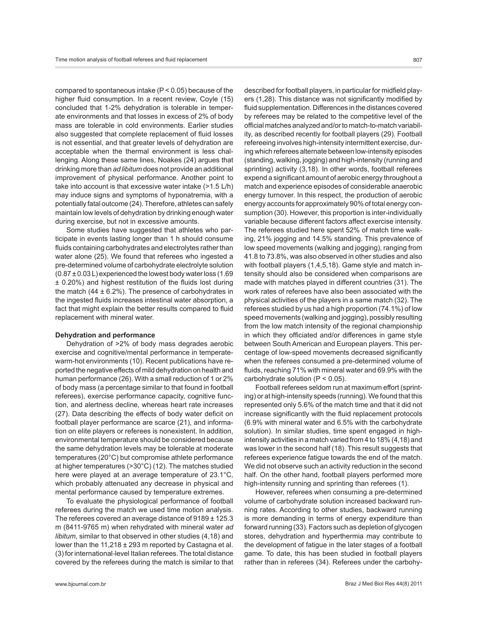compared to spontaneous intake (P < 0.05) because of the higher fluid consumption. In a recent review, Coyle (15) concluded that 1-2% dehydration is tolerable in temperate environments and that losses in excess of 2% of body mass are tolerable in cold environments. Earlier studies also suggested that complete replacement of fluid losses is not essential, and that greater levels of dehydration are acceptable when the thermal environment is less challenging. Along these same lines, Noakes (24) argues that drinking more than *ad libitum* does not provide an additional improvement of physical performance. Another point to take into account is that excessive water intake (>1.5 L/h) may induce signs and symptoms of hyponatremia, with a potentially fatal outcome (24). Therefore, athletes can safely maintain low levels of dehydration by drinking enough water during exercise, but not in excessive amounts.

Some studies have suggested that athletes who participate in events lasting longer than 1 h should consume fluids containing carbohydrates and electrolytes rather than water alone (25). We found that referees who ingested a pre-determined volume of carbohydrate electrolyte solution  $(0.87 \pm 0.03$  L) experienced the lowest body water loss (1.69 ± 0.20%) and highest restitution of the fluids lost during the match  $(44 \pm 6.2\%)$ . The presence of carbohydrates in the ingested fluids increases intestinal water absorption, a fact that might explain the better results compared to fluid replacement with mineral water.

#### **Dehydration and performance**

Dehydration of >2% of body mass degrades aerobic exercise and cognitive/mental performance in temperatewarm-hot environments (10). Recent publications have reported the negative effects of mild dehydration on health and human performance (26). With a small reduction of 1 or 2% of body mass (a percentage similar to that found in football referees), exercise performance capacity, cognitive function, and alertness decline, whereas heart rate increases (27). Data describing the effects of body water deficit on football player performance are scarce (21), and information on elite players or referees is nonexistent. In addition, environmental temperature should be considered because the same dehydration levels may be tolerable at moderate temperatures (20°C) but compromise athlete performance at higher temperatures (>30°C) (12). The matches studied here were played at an average temperature of 23.1°C, which probably attenuated any decrease in physical and mental performance caused by temperature extremes.

To evaluate the physiological performance of football referees during the match we used time motion analysis. The referees covered an average distance of 9189 ± 125.3 m (8411-9765 m) when rehydrated with mineral water *ad libitum*, similar to that observed in other studies (4,18) and lower than the 11,218 ± 293 m reported by Castagna et al. (3) for international-level Italian referees. The total distance covered by the referees during the match is similar to that described for football players, in particular for midfield players (1,28). This distance was not significantly modified by fluid supplementation. Differences in the distances covered by referees may be related to the competitive level of the official matches analyzed and/or to match-to-match variability, as described recently for football players (29). Football refereeing involves high-intensity intermittent exercise, during which referees alternate between low-intensity episodes (standing, walking, jogging) and high-intensity (running and sprinting) activity (3,18). In other words, football referees expend a significant amount of aerobic energy throughout a match and experience episodes of considerable anaerobic energy turnover. In this respect, the production of aerobic energy accounts for approximately 90% of total energy consumption (30). However, this proportion is inter-individually variable because different factors affect exercise intensity. The referees studied here spent 52% of match time walking, 21% jogging and 14.5% standing. This prevalence of low speed movements (walking and jogging), ranging from 41.8 to 73.8%, was also observed in other studies and also with football players (1,4,5,18). Game style and match intensity should also be considered when comparisons are made with matches played in different countries (31). The work rates of referees have also been associated with the physical activities of the players in a same match (32). The referees studied by us had a high proportion (74.1%) of low speed movements (walking and jogging), possibly resulting from the low match intensity of the regional championship in which they officiated and/or differences in game style between South American and European players. This percentage of low-speed movements decreased significantly when the referees consumed a pre-determined volume of fluids, reaching 71% with mineral water and 69.9% with the carbohydrate solution  $(P < 0.05)$ .

Football referees seldom run at maximum effort (sprinting) or at high-intensity speeds (running). We found that this represented only 5.6% of the match time and that it did not increase significantly with the fluid replacement protocols (6.9% with mineral water and 6.5% with the carbohydrate solution). In similar studies, time spent engaged in highintensity activities in a match varied from 4 to 18% (4,18) and was lower in the second half (18). This result suggests that referees experience fatigue towards the end of the match. We did not observe such an activity reduction in the second half. On the other hand, football players performed more high-intensity running and sprinting than referees (1).

However, referees when consuming a pre-determined volume of carbohydrate solution increased backward running rates. According to other studies, backward running is more demanding in terms of energy expenditure than forward running (33). Factors such as depletion of glycogen stores, dehydration and hyperthermia may contribute to the development of fatigue in the later stages of a football game. To date, this has been studied in football players rather than in referees (34). Referees under the carbohy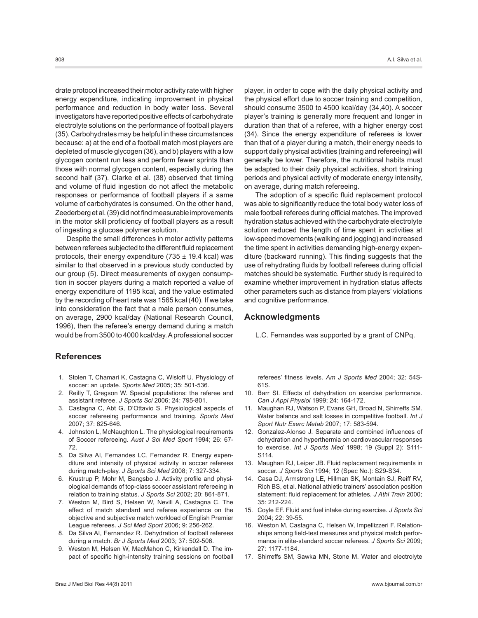drate protocol increased their motor activity rate with higher energy expenditure, indicating improvement in physical performance and reduction in body water loss. Several investigators have reported positive effects of carbohydrate electrolyte solutions on the performance of football players (35). Carbohydrates may be helpful in these circumstances because: a) at the end of a football match most players are depleted of muscle glycogen (36), and b) players with a low glycogen content run less and perform fewer sprints than those with normal glycogen content, especially during the second half (37). Clarke et al. (38) observed that timing and volume of fluid ingestion do not affect the metabolic responses or performance of football players if a same volume of carbohydrates is consumed. On the other hand, Zeederberg et al. (39) did not find measurable improvements in the motor skill proficiency of football players as a result of ingesting a glucose polymer solution.

Despite the small differences in motor activity patterns between referees subjected to the different fluid replacement protocols, their energy expenditure (735  $\pm$  19.4 kcal) was similar to that observed in a previous study conducted by our group (5). Direct measurements of oxygen consumption in soccer players during a match reported a value of energy expenditure of 1195 kcal, and the value estimated by the recording of heart rate was 1565 kcal (40). If we take into consideration the fact that a male person consumes, on average, 2900 kcal/day (National Research Council, 1996), then the referee's energy demand during a match would be from 3500 to 4000 kcal/day. A professional soccer

# **References**

- 1. Stolen T, Chamari K, Castagna C, Wisloff U. Physiology of soccer: an update. *Sports Med* 2005; 35: 501-536.
- 2. Reilly T, Gregson W. Special populations: the referee and assistant referee. *J Sports Sci* 2006; 24: 795-801.
- 3. Castagna C, Abt G, D'Ottavio S. Physiological aspects of soccer refereeing performance and training. *Sports Med* 2007; 37: 625-646.
- 4. Johnston L, McNaughton L. The physiological requirements of Soccer refereeing. *Aust J Sci Med Sport* 1994; 26: 67- 72.
- 5. Da Silva AI, Fernandes LC, Fernandez R. Energy expenditure and intensity of physical activity in soccer referees during match-play. *J Sports Sci Med* 2008; 7: 327-334.
- 6. Krustrup P, Mohr M, Bangsbo J. Activity profile and physiological demands of top-class soccer assistant refereeing in relation to training status. *J Sports Sci* 2002; 20: 861-871.
- 7. Weston M, Bird S, Helsen W, Nevill A, Castagna C. The effect of match standard and referee experience on the objective and subjective match workload of English Premier League referees. *J Sci Med Sport* 2006; 9: 256-262.
- 8. Da Silva AI, Fernandez R. Dehydration of football referees during a match. *Br J Sports Med* 2003; 37: 502-506.
- 9. Weston M, Helsen W, MacMahon C, Kirkendall D. The impact of specific high-intensity training sessions on football

player, in order to cope with the daily physical activity and the physical effort due to soccer training and competition, should consume 3500 to 4500 kcal/day (34,40). A soccer player's training is generally more frequent and longer in duration than that of a referee, with a higher energy cost (34). Since the energy expenditure of referees is lower than that of a player during a match, their energy needs to support daily physical activities (training and refereeing) will generally be lower. Therefore, the nutritional habits must be adapted to their daily physical activities, short training periods and physical activity of moderate energy intensity, on average, during match refereeing.

The adoption of a specific fluid replacement protocol was able to significantly reduce the total body water loss of male football referees during official matches. The improved hydration status achieved with the carbohydrate electrolyte solution reduced the length of time spent in activities at low-speed movements (walking and jogging) and increased the time spent in activities demanding high-energy expenditure (backward running). This finding suggests that the use of rehydrating fluids by football referees during official matches should be systematic. Further study is required to examine whether improvement in hydration status affects other parameters such as distance from players' violations and cognitive performance.

# **Acknowledgments**

L.C. Fernandes was supported by a grant of CNPq.

referees' fitness levels. *Am J Sports Med* 2004; 32: 54S-61S.

- 10. Barr SI. Effects of dehydration on exercise performance. *Can J Appl Physiol* 1999; 24: 164-172.
- 11. Maughan RJ, Watson P, Evans GH, Broad N, Shirreffs SM. Water balance and salt losses in competitive football. *Int J Sport Nutr Exerc Metab* 2007; 17: 583-594.
- 12. Gonzalez-Alonso J. Separate and combined influences of dehydration and hyperthermia on cardiovascular responses to exercise. *Int J Sports Med* 1998; 19 (Suppl 2): S111- S114.
- 13. Maughan RJ, Leiper JB. Fluid replacement requirements in soccer. *J Sports Sci* 1994; 12 (Spec No.): S29-S34.
- 14. Casa DJ, Armstrong LE, Hillman SK, Montain SJ, Reiff RV, Rich BS, et al. National athletic trainers' association position statement: fluid replacement for athletes. *J Athl Train* 2000; 35: 212-224.
- 15. Coyle EF. Fluid and fuel intake during exercise. *J Sports Sci* 2004; 22: 39-55.
- 16. Weston M, Castagna C, Helsen W, Impellizzeri F. Relationships among field-test measures and physical match performance in elite-standard soccer referees. *J Sports Sci* 2009; 27: 1177-1184.
- 17. Shirreffs SM, Sawka MN, Stone M. Water and electrolyte